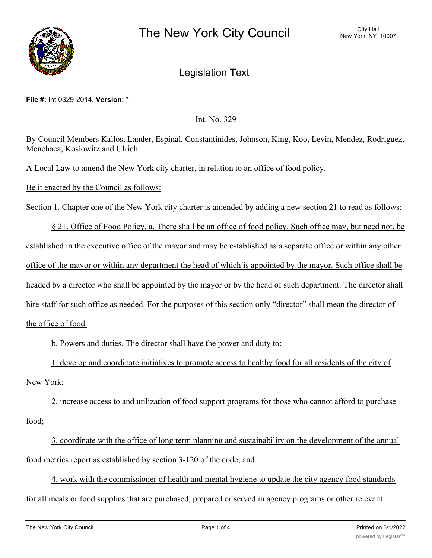

# Legislation Text

### **File #:** Int 0329-2014, **Version:** \*

Int. No. 329

By Council Members Kallos, Lander, Espinal, Constantinides, Johnson, King, Koo, Levin, Mendez, Rodriguez, Menchaca, Koslowitz and Ulrich

A Local Law to amend the New York city charter, in relation to an office of food policy.

Be it enacted by the Council as follows:

Section 1. Chapter one of the New York city charter is amended by adding a new section 21 to read as follows:

§ 21. Office of Food Policy. a. There shall be an office of food policy. Such office may, but need not, be established in the executive office of the mayor and may be established as a separate office or within any other office of the mayor or within any department the head of which is appointed by the mayor. Such office shall be headed by a director who shall be appointed by the mayor or by the head of such department. The director shall hire staff for such office as needed. For the purposes of this section only "director" shall mean the director of the office of food.

b. Powers and duties. The director shall have the power and duty to:

1. develop and coordinate initiatives to promote access to healthy food for all residents of the city of New York;

2. increase access to and utilization of food support programs for those who cannot afford to purchase food;

3. coordinate with the office of long term planning and sustainability on the development of the annual food metrics report as established by section 3-120 of the code; and

4. work with the commissioner of health and mental hygiene to update the city agency food standards for all meals or food supplies that are purchased, prepared or served in agency programs or other relevant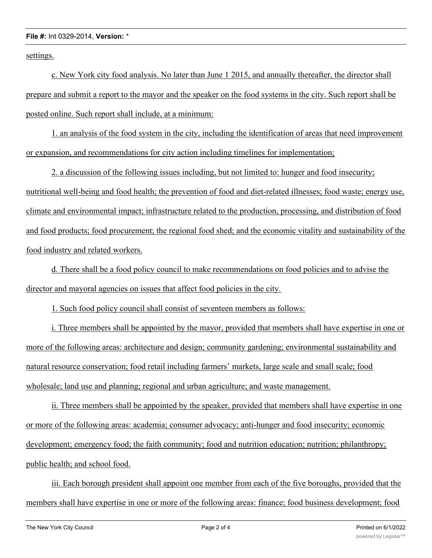#### **File #:** Int 0329-2014, **Version:** \*

settings.

c. New York city food analysis. No later than June 1 2015, and annually thereafter, the director shall prepare and submit a report to the mayor and the speaker on the food systems in the city. Such report shall be posted online. Such report shall include, at a minimum:

1. an analysis of the food system in the city, including the identification of areas that need improvement or expansion, and recommendations for city action including timelines for implementation;

2. a discussion of the following issues including, but not limited to: hunger and food insecurity; nutritional well-being and food health; the prevention of food and diet-related illnesses; food waste; energy use, climate and environmental impact; infrastructure related to the production, processing, and distribution of food and food products; food procurement; the regional food shed; and the economic vitality and sustainability of the food industry and related workers.

d. There shall be a food policy council to make recommendations on food policies and to advise the director and mayoral agencies on issues that affect food policies in the city.

1. Such food policy council shall consist of seventeen members as follows:

i. Three members shall be appointed by the mayor, provided that members shall have expertise in one or more of the following areas: architecture and design; community gardening; environmental sustainability and natural resource conservation; food retail including farmers' markets, large scale and small scale; food wholesale; land use and planning; regional and urban agriculture; and waste management.

ii. Three members shall be appointed by the speaker, provided that members shall have expertise in one or more of the following areas: academia; consumer advocacy; anti-hunger and food insecurity; economic development; emergency food; the faith community; food and nutrition education; nutrition; philanthropy; public health; and school food.

iii. Each borough president shall appoint one member from each of the five boroughs, provided that the members shall have expertise in one or more of the following areas: finance; food business development; food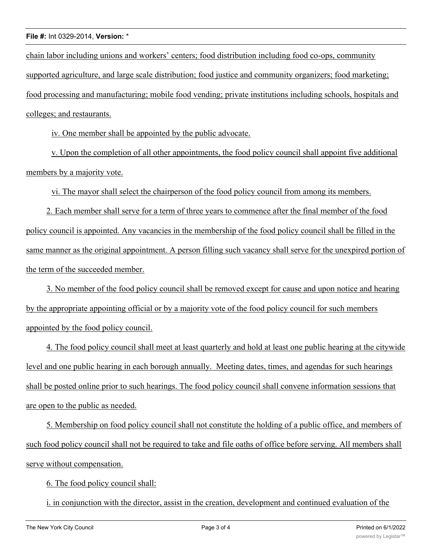## **File #:** Int 0329-2014, **Version:** \*

chain labor including unions and workers' centers; food distribution including food co-ops, community supported agriculture, and large scale distribution; food justice and community organizers; food marketing; food processing and manufacturing; mobile food vending; private institutions including schools, hospitals and colleges; and restaurants.

iv. One member shall be appointed by the public advocate.

v. Upon the completion of all other appointments, the food policy council shall appoint five additional members by a majority vote.

vi. The mayor shall select the chairperson of the food policy council from among its members.

2. Each member shall serve for a term of three years to commence after the final member of the food policy council is appointed. Any vacancies in the membership of the food policy council shall be filled in the same manner as the original appointment. A person filling such vacancy shall serve for the unexpired portion of the term of the succeeded member.

3. No member of the food policy council shall be removed except for cause and upon notice and hearing by the appropriate appointing official or by a majority vote of the food policy council for such members appointed by the food policy council.

4. The food policy council shall meet at least quarterly and hold at least one public hearing at the citywide level and one public hearing in each borough annually. Meeting dates, times, and agendas for such hearings shall be posted online prior to such hearings. The food policy council shall convene information sessions that are open to the public as needed.

5. Membership on food policy council shall not constitute the holding of a public office, and members of such food policy council shall not be required to take and file oaths of office before serving. All members shall serve without compensation.

6. The food policy council shall:

i. in conjunction with the director, assist in the creation, development and continued evaluation of the